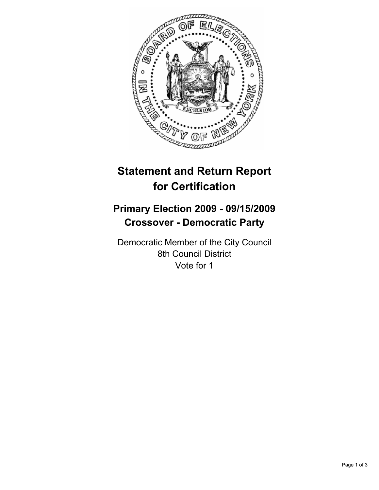

# **Statement and Return Report for Certification**

## **Primary Election 2009 - 09/15/2009 Crossover - Democratic Party**

Democratic Member of the City Council 8th Council District Vote for 1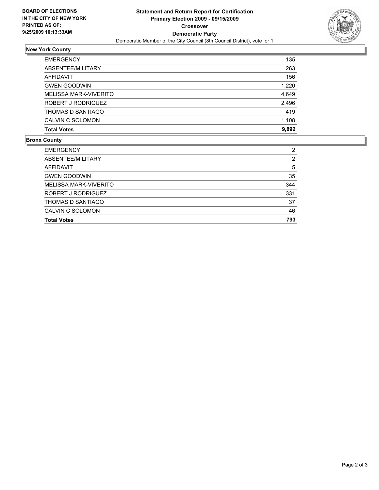

### **New York County**

| <b>EMERGENCY</b>         | 135   |
|--------------------------|-------|
| ABSENTEE/MILITARY        | 263   |
| AFFIDAVIT                | 156   |
| <b>GWEN GOODWIN</b>      | 1,220 |
| MELISSA MARK-VIVERITO    | 4,649 |
| ROBERT J RODRIGUEZ       | 2,496 |
| <b>THOMAS D SANTIAGO</b> | 419   |
| CALVIN C SOLOMON         | 1,108 |
| <b>Total Votes</b>       | 9,892 |

### **Bronx County**

| <b>EMERGENCY</b>      | 2   |
|-----------------------|-----|
| ABSENTEE/MILITARY     | 2   |
| AFFIDAVIT             | 5   |
| <b>GWEN GOODWIN</b>   | 35  |
| MELISSA MARK-VIVERITO | 344 |
| ROBERT J RODRIGUEZ    | 331 |
| THOMAS D SANTIAGO     | 37  |
| CALVIN C SOLOMON      | 46  |
| <b>Total Votes</b>    | 793 |